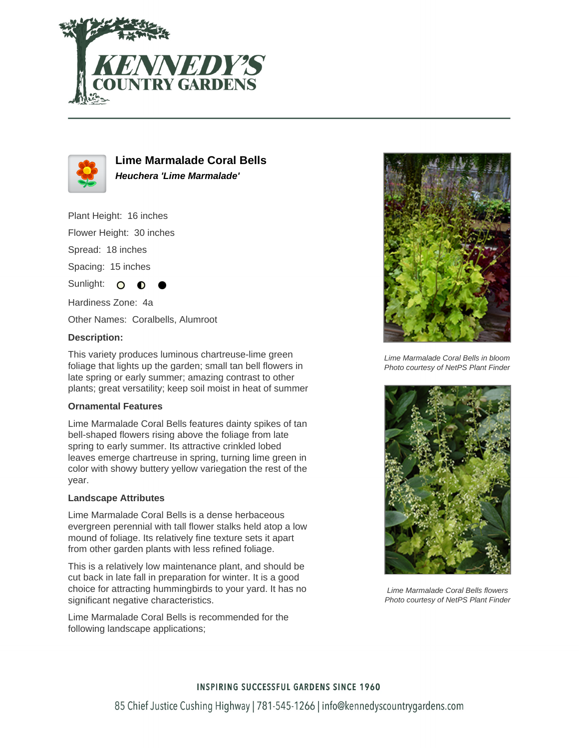



**Lime Marmalade Coral Bells Heuchera 'Lime Marmalade'**

Plant Height: 16 inches

Flower Height: 30 inches

Spread: 18 inches

Spacing: 15 inches

Sunlight: O

Hardiness Zone: 4a

Other Names: Coralbells, Alumroot

# **Description:**

This variety produces luminous chartreuse-lime green foliage that lights up the garden; small tan bell flowers in late spring or early summer; amazing contrast to other plants; great versatility; keep soil moist in heat of summer

### **Ornamental Features**

Lime Marmalade Coral Bells features dainty spikes of tan bell-shaped flowers rising above the foliage from late spring to early summer. Its attractive crinkled lobed leaves emerge chartreuse in spring, turning lime green in color with showy buttery yellow variegation the rest of the year.

### **Landscape Attributes**

Lime Marmalade Coral Bells is a dense herbaceous evergreen perennial with tall flower stalks held atop a low mound of foliage. Its relatively fine texture sets it apart from other garden plants with less refined foliage.

This is a relatively low maintenance plant, and should be cut back in late fall in preparation for winter. It is a good choice for attracting hummingbirds to your yard. It has no significant negative characteristics.

Lime Marmalade Coral Bells is recommended for the following landscape applications;



Lime Marmalade Coral Bells in bloom Photo courtesy of NetPS Plant Finder



Lime Marmalade Coral Bells flowers Photo courtesy of NetPS Plant Finder

# **INSPIRING SUCCESSFUL GARDENS SINCE 1960** 85 Chief Justice Cushing Highway | 781-545-1266 | info@kennedyscountrygardens.com